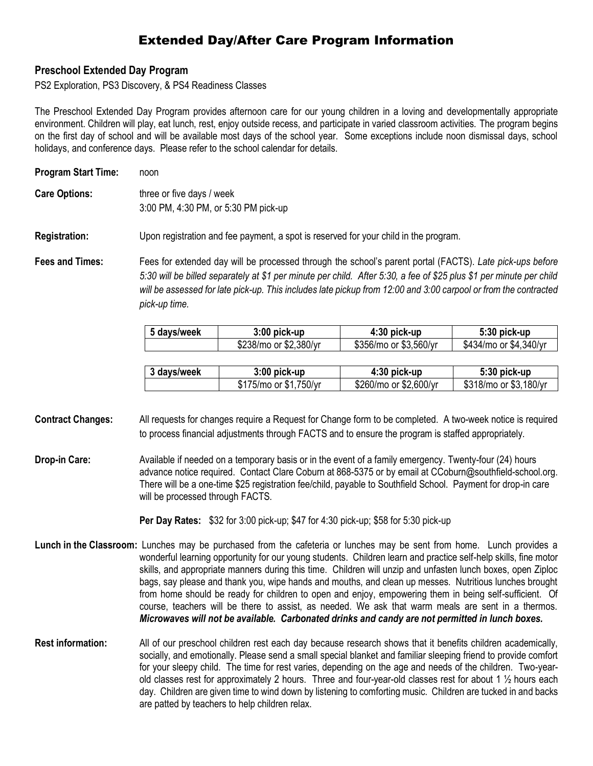## Extended Day/After Care Program Information

## **Preschool Extended Day Program**

PS2 Exploration, PS3 Discovery, & PS4 Readiness Classes

The Preschool Extended Day Program provides afternoon care for our young children in a loving and developmentally appropriate environment. Children will play, eat lunch, rest, enjoy outside recess, and participate in varied classroom activities. The program begins on the first day of school and will be available most days of the school year. Some exceptions include noon dismissal days, school holidays, and conference days. Please refer to the school calendar for details.

| <b>Program Start Time:</b> | noon                                                                                                                                                                                                                                                |  |  |
|----------------------------|-----------------------------------------------------------------------------------------------------------------------------------------------------------------------------------------------------------------------------------------------------|--|--|
| <b>Care Options:</b>       | three or five days / week<br>3:00 PM, 4:30 PM, or 5:30 PM pick-up                                                                                                                                                                                   |  |  |
| <b>Registration:</b>       | Upon registration and fee payment, a spot is reserved for your child in the program.                                                                                                                                                                |  |  |
| <b>Fees and Times:</b>     | Fees for extended day will be processed through the school's parent portal (FACTS). Late pick-ups before<br>$5.30$ will be billed separately at \$1 per minute per child $\Delta$ ther $5.30 \rightarrow$ fee of \$25 plus \$1 per minute per child |  |  |

*5:30 will be billed separately at \$1 per minute per child. After 5:30, a fee of \$25 plus \$1 per minute per child will be assessed for late pick-up. This includes late pickup from 12:00 and 3:00 carpool or from the contracted pick-up time.*

| 5 days/week | $3:00$ pick-up         | 4:30 pick-up           | $5:30$ pick-up         |
|-------------|------------------------|------------------------|------------------------|
|             | \$238/mo or \$2,380/yr | \$356/mo or \$3,560/yr | \$434/mo or \$4,340/yr |

| 3 days/week | $3:00$ pick-up         | $4:30$ pick-up         | 5:30 pick-up           |
|-------------|------------------------|------------------------|------------------------|
|             | \$175/mo or \$1,750/yr | \$260/mo or \$2,600/yr | \$318/mo or \$3,180/yr |

**Contract Changes:** All requests for changes require a Request for Change form to be completed. A two-week notice is required to process financial adjustments through FACTS and to ensure the program is staffed appropriately.

**Drop-in Care:** Available if needed on a temporary basis or in the event of a family emergency. Twenty-four (24) hours advance notice required. Contact Clare Coburn at 868-5375 or by email at [CCoburn@southfield-school.org.](mailto:shuckaby@southfield-school.org) There will be a one-time \$25 registration fee/child, payable to Southfield School. Payment for drop-in care will be processed through FACTS.

**Per Day Rates:** \$32 for 3:00 pick-up; \$47 for 4:30 pick-up; \$58 for 5:30 pick-up

- **Lunch in the Classroom:** Lunches may be purchased from the cafeteria or lunches may be sent from home. Lunch provides a wonderful learning opportunity for our young students. Children learn and practice self-help skills, fine motor skills, and appropriate manners during this time. Children will unzip and unfasten lunch boxes, open Ziploc bags, say please and thank you, wipe hands and mouths, and clean up messes. Nutritious lunches brought from home should be ready for children to open and enjoy, empowering them in being self-sufficient. Of course, teachers will be there to assist, as needed. We ask that warm meals are sent in a thermos. *Microwaves will not be available. Carbonated drinks and candy are not permitted in lunch boxes.*
- **Rest information:** All of our preschool children rest each day because research shows that it benefits children academically, socially, and emotionally. Please send a small special blanket and familiar sleeping friend to provide comfort for your sleepy child. The time for rest varies, depending on the age and needs of the children. Two-yearold classes rest for approximately 2 hours. Three and four-year-old classes rest for about 1 ½ hours each day. Children are given time to wind down by listening to comforting music. Children are tucked in and backs are patted by teachers to help children relax.